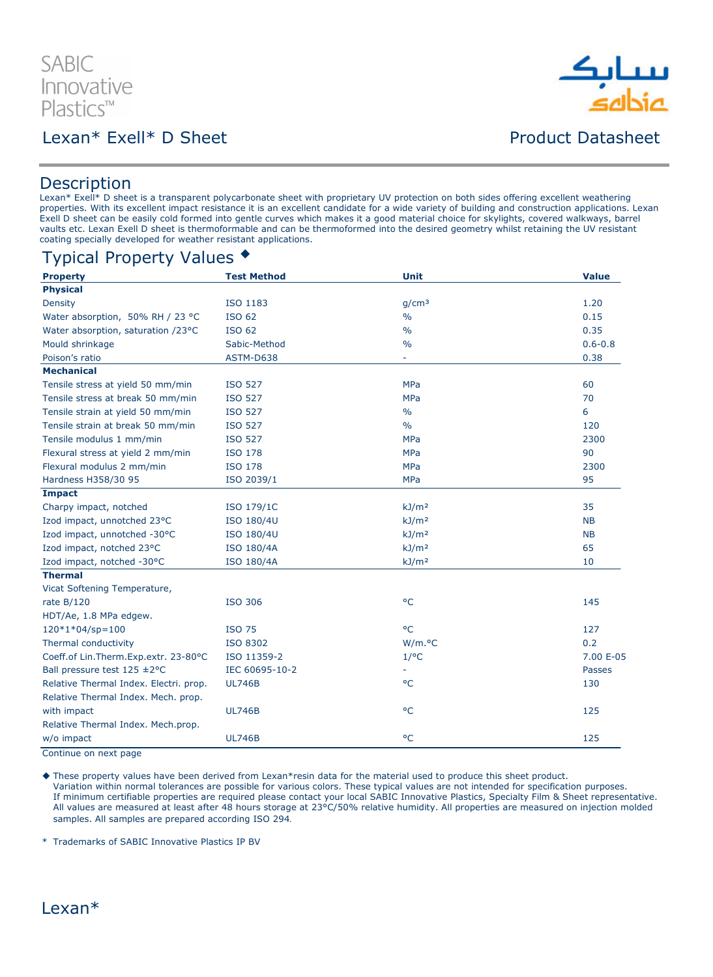

### Lexan\* Exell\* D Sheet **Product Datasheet**



#### **Description**

Lexan\* Exell\* D sheet is a transparent polycarbonate sheet with proprietary UV protection on both sides offering excellent weathering properties. With its excellent impact resistance it is an excellent candidate for a wide variety of building and construction applications. Lexan Exell D sheet can be easily cold formed into gentle curves which makes it a good material choice for skylights, covered walkways, barrel vaults etc. Lexan Exell D sheet is thermoformable and can be thermoformed into the desired geometry whilst retaining the UV resistant coating specially developed for weather resistant applications.

#### Typical Property Values

| <b>Property</b>                        | <b>Test Method</b> | <b>Unit</b>       | <b>Value</b>  |
|----------------------------------------|--------------------|-------------------|---------------|
| <b>Physical</b>                        |                    |                   |               |
| Density                                | ISO 1183           | q/cm <sup>3</sup> | 1.20          |
| Water absorption, 50% RH / 23 °C       | <b>ISO 62</b>      | $\frac{0}{0}$     | 0.15          |
| Water absorption, saturation /23°C     | <b>ISO 62</b>      | $\frac{0}{0}$     | 0.35          |
| Mould shrinkage                        | Sabic-Method       | $\frac{0}{0}$     | $0.6 - 0.8$   |
| Poison's ratio                         | ASTM-D638          |                   | 0.38          |
| <b>Mechanical</b>                      |                    |                   |               |
| Tensile stress at yield 50 mm/min      | <b>ISO 527</b>     | <b>MPa</b>        | 60            |
| Tensile stress at break 50 mm/min      | <b>ISO 527</b>     | <b>MPa</b>        | 70            |
| Tensile strain at yield 50 mm/min      | <b>ISO 527</b>     | $\frac{0}{0}$     | 6             |
| Tensile strain at break 50 mm/min      | <b>ISO 527</b>     | $\frac{0}{0}$     | 120           |
| Tensile modulus 1 mm/min               | <b>ISO 527</b>     | <b>MPa</b>        | 2300          |
| Flexural stress at yield 2 mm/min      | <b>ISO 178</b>     | <b>MPa</b>        | 90            |
| Flexural modulus 2 mm/min              | <b>ISO 178</b>     | <b>MPa</b>        | 2300          |
| Hardness H358/30 95                    | ISO 2039/1         | <b>MPa</b>        | 95            |
| <b>Impact</b>                          |                    |                   |               |
| Charpy impact, notched                 | ISO 179/1C         | kJ/m <sup>2</sup> | 35            |
| Izod impact, unnotched 23°C            | ISO 180/4U         | kJ/m <sup>2</sup> | <b>NB</b>     |
| Izod impact, unnotched -30°C           | ISO 180/4U         | kJ/m <sup>2</sup> | <b>NB</b>     |
| Izod impact, notched 23°C              | <b>ISO 180/4A</b>  | kJ/m <sup>2</sup> | 65            |
| Izod impact, notched -30°C             | <b>ISO 180/4A</b>  | kJ/m <sup>2</sup> | 10            |
| <b>Thermal</b>                         |                    |                   |               |
| Vicat Softening Temperature,           |                    |                   |               |
| rate $B/120$                           | <b>ISO 306</b>     | $^{\circ}$ C      | 145           |
| HDT/Ae, 1.8 MPa edgew.                 |                    |                   |               |
| $120*1*04/sp=100$                      | <b>ISO 75</b>      | °C                | 127           |
| Thermal conductivity                   | <b>ISO 8302</b>    | W/m.°C            | 0.2           |
| Coeff.of Lin.Therm.Exp.extr. 23-80°C   | ISO 11359-2        | $1$ /°C           | 7.00 E-05     |
| Ball pressure test 125 ±2°C            | IEC 60695-10-2     |                   | <b>Passes</b> |
| Relative Thermal Index. Electri. prop. | <b>UL746B</b>      | $^{\circ}$ C      | 130           |
| Relative Thermal Index. Mech. prop.    |                    |                   |               |
| with impact                            | <b>UL746B</b>      | $^{\circ}$ C      | 125           |
| Relative Thermal Index. Mech.prop.     |                    |                   |               |
| w/o impact                             | <b>UL746B</b>      | $^{\circ}$ C      | 125           |
|                                        |                    |                   |               |

Continue on next page

 These property values have been derived from Lexan\*resin data for the material used to produce this sheet product. Variation within normal tolerances are possible for various colors. These typical values are not intended for specification purposes. If minimum certifiable properties are required please contact your local SABIC Innovative Plastics, Specialty Film & Sheet representative. All values are measured at least after 48 hours storage at 23°C/50% relative humidity. All properties are measured on injection molded samples. All samples are prepared according ISO 294.

\* Trademarks of SABIC Innovative Plastics IP BV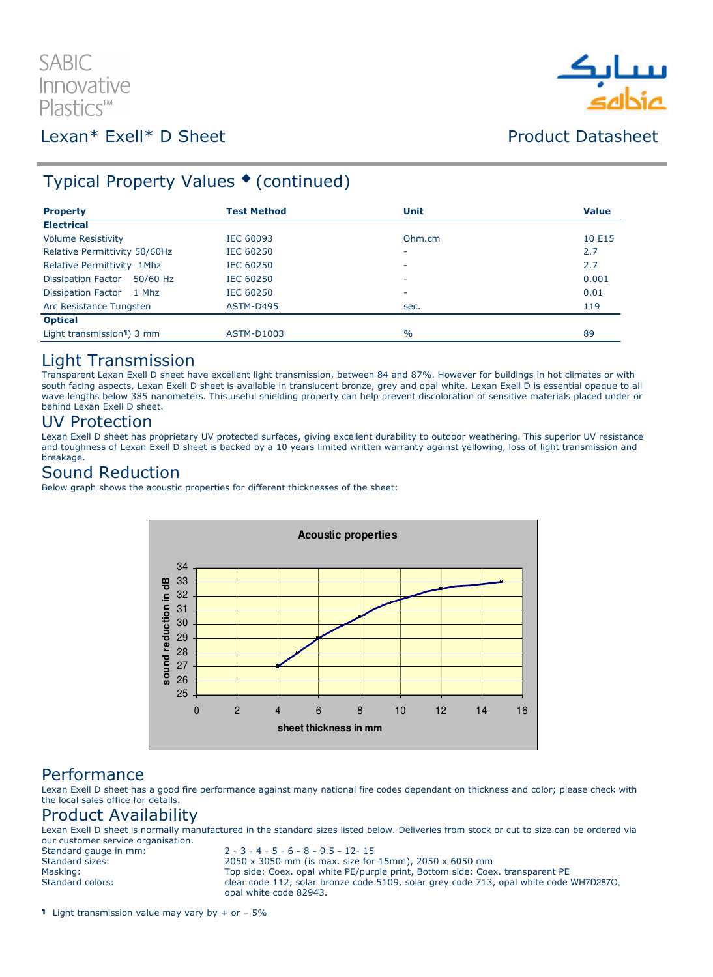# **SABIC** Innovative  $Plastics^m$

### Lexan\* Exell\* D Sheet **Product Datasheet**



## Typical Property Values ♦ (continued)

| <b>Property</b>                        | <b>Test Method</b> | <b>Unit</b>   | <b>Value</b> |
|----------------------------------------|--------------------|---------------|--------------|
| <b>Electrical</b>                      |                    |               |              |
| <b>Volume Resistivity</b>              | IEC 60093          | Ohm.cm        | 10 E15       |
| Relative Permittivity 50/60Hz          | <b>IEC 60250</b>   | ٠             | 2.7          |
| Relative Permittivity 1Mhz             | IEC 60250          | ۰             | 2.7          |
| <b>Dissipation Factor</b><br>50/60 Hz  | <b>IEC 60250</b>   | ۰             | 0.001        |
| Dissipation Factor 1 Mhz               | <b>IEC 60250</b>   | ۰             | 0.01         |
| Arc Resistance Tungsten                | ASTM-D495          | sec.          | 119          |
| <b>Optical</b>                         |                    |               |              |
| Light transmission <sup>1</sup> ) 3 mm | ASTM-D1003         | $\frac{0}{0}$ | 89           |

#### Light Transmission

Transparent Lexan Exell D sheet have excellent light transmission, between 84 and 87%. However for buildings in hot climates or with south facing aspects, Lexan Exell D sheet is available in translucent bronze, grey and opal white. Lexan Exell D is essential opaque to all wave lengths below 385 nanometers. This useful shielding property can help prevent discoloration of sensitive materials placed under or behind Lexan Exell D sheet.

#### UV Protection

Lexan Exell D sheet has proprietary UV protected surfaces, giving excellent durability to outdoor weathering. This superior UV resistance and toughness of Lexan Exell D sheet is backed by a 10 years limited written warranty against yellowing, loss of light transmission and breakage.

#### Sound Reduction

Below graph shows the acoustic properties for different thicknesses of the sheet:



#### Performance

Lexan Exell D sheet has a good fire performance against many national fire codes dependant on thickness and color; please check with the local sales office for details.

### Product Availability

Lexan Exell D sheet is normally manufactured in the standard sizes listed below. Deliveries from stock or cut to size can be ordered via our customer service organisation.<br>Standard gauge in mm:

 $2 - 3 - 4 - 5 - 6 - 8 - 9.5 - 12 - 15$ Standard sizes: 2050 x 3050 mm (is max. size for 15mm), 2050 x 6050 mm Masking: Top side: Coex. opal white PE/purple print, Bottom side: Coex. transparent PE<br>Standard colors: Standard colors: Clear code 112, solar bronze code 5109, solar grey code 713, opal white code clear code 112, solar bronze code 5109, solar grey code 713, opal white code WH7D287O, opal white code 82943.

 $\text{I}$  Light transmission value may vary by + or - 5%